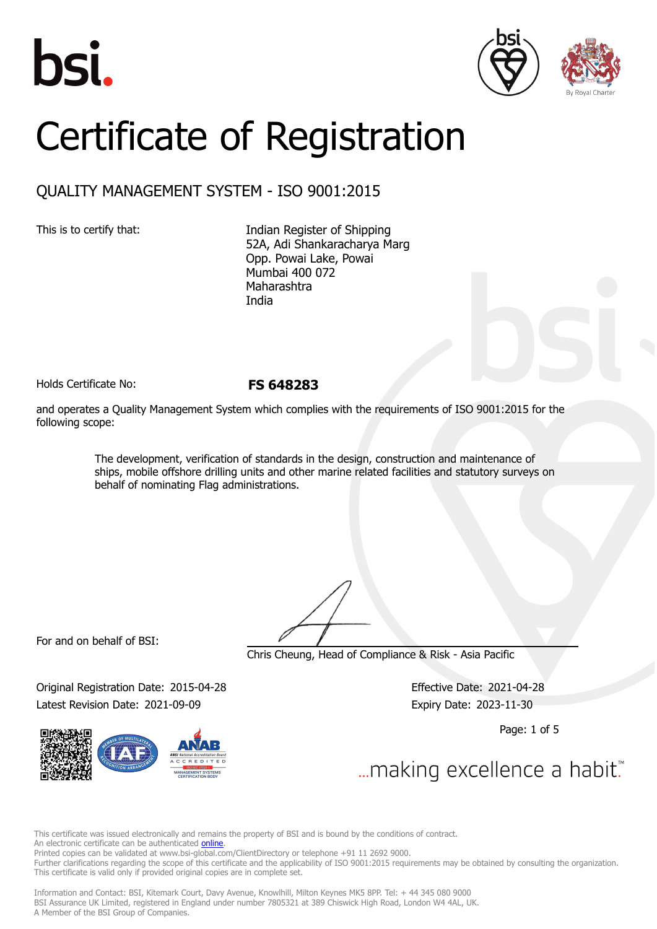





# Certificate of Registration

## QUALITY MANAGEMENT SYSTEM - ISO 9001:2015

This is to certify that: Indian Register of Shipping 52A, Adi Shankaracharya Marg Opp. Powai Lake, Powai Mumbai 400 072 Maharashtra India

Holds Certificate No: **FS 648283**

and operates a Quality Management System which complies with the requirements of ISO 9001:2015 for the following scope:

> The development, verification of standards in the design, construction and maintenance of ships, mobile offshore drilling units and other marine related facilities and statutory surveys on behalf of nominating Flag administrations.

For and on behalf of BSI:

Chris Cheung, Head of Compliance & Risk - Asia Pacific

Original Registration Date: 2015-04-28 Effective Date: 2021-04-28 Latest Revision Date: 2021-09-09 **Expiry Date: 2023-11-30** 

Page: 1 of 5

... making excellence a habit.

This certificate was issued electronically and remains the property of BSI and is bound by the conditions of contract. An electronic certificate can be authenticated **[online](https://pgplus.bsigroup.com/CertificateValidation/CertificateValidator.aspx?CertificateNumber=FS+648283&ReIssueDate=09%2f09%2f2021&Template=india_en)** Printed copies can be validated at www.bsi-global.com/ClientDirectory or telephone +91 11 2692 9000.

Further clarifications regarding the scope of this certificate and the applicability of ISO 9001:2015 requirements may be obtained by consulting the organization. This certificate is valid only if provided original copies are in complete set.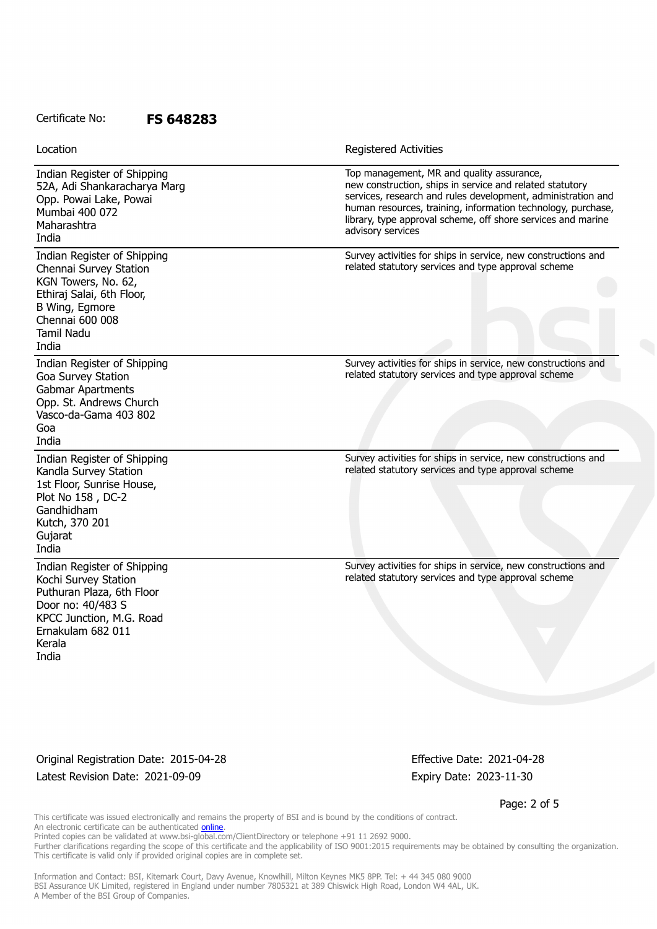Indian Register of Shipping 52A, Adi Shankaracharya Marg Opp. Powai Lake, Powai Mumbai 400 072 Maharashtra India Top management, MR and quality assurance, new construction, ships in service and related statutory services, research and rules development, administration and human resources, training, information technology, purchase, library, type approval scheme, off shore services and marine advisory services Indian Register of Shipping Chennai Survey Station KGN Towers, No. 62, Ethiraj Salai, 6th Floor, B Wing, Egmore Chennai 600 008 Tamil Nadu India Survey activities for ships in service, new constructions and related statutory services and type approval scheme Indian Register of Shipping Goa Survey Station Gabmar Apartments Opp. St. Andrews Church Vasco-da-Gama 403 802 Goa India Survey activities for ships in service, new constructions and related statutory services and type approval scheme Indian Register of Shipping Kandla Survey Station 1st Floor, Sunrise House, Plot No 158 , DC-2 Gandhidham Kutch, 370 201 **Gujarat** India Survey activities for ships in service, new constructions and related statutory services and type approval scheme Indian Register of Shipping Kochi Survey Station Puthuran Plaza, 6th Floor Door no: 40/483 S KPCC Junction, M.G. Road Ernakulam 682 011 Kerala India Survey activities for ships in service, new constructions and related statutory services and type approval scheme Location **Exercise 2018 Location Registered Activities** 

Original Registration Date: 2015-04-28 Effective Date: 2021-04-28 Latest Revision Date: 2021-09-09 expiry Date: 2023-11-30

Page: 2 of 5

This certificate was issued electronically and remains the property of BSI and is bound by the conditions of contract. An electronic certificate can be authenticated **[online](https://pgplus.bsigroup.com/CertificateValidation/CertificateValidator.aspx?CertificateNumber=FS+648283&ReIssueDate=09%2f09%2f2021&Template=india_en)**. Printed copies can be validated at www.bsi-global.com/ClientDirectory or telephone +91 11 2692 9000.

Further clarifications regarding the scope of this certificate and the applicability of ISO 9001:2015 requirements may be obtained by consulting the organization. This certificate is valid only if provided original copies are in complete set.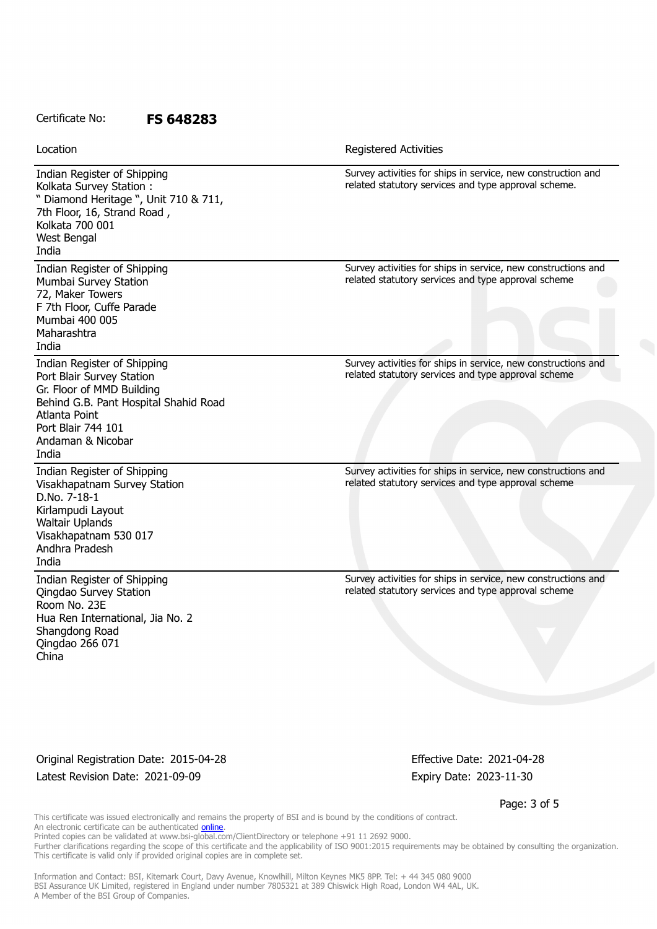| Location                                                                                                                                                                                            | Registered Activities                                                                                                |
|-----------------------------------------------------------------------------------------------------------------------------------------------------------------------------------------------------|----------------------------------------------------------------------------------------------------------------------|
| Indian Register of Shipping<br>Kolkata Survey Station:<br>" Diamond Heritage ", Unit 710 & 711,<br>7th Floor, 16, Strand Road,<br>Kolkata 700 001<br>West Bengal<br>India                           | Survey activities for ships in service, new construction and<br>related statutory services and type approval scheme. |
| Indian Register of Shipping<br>Mumbai Survey Station<br>72, Maker Towers<br>F 7th Floor, Cuffe Parade<br>Mumbai 400 005<br>Maharashtra<br>India                                                     | Survey activities for ships in service, new constructions and<br>related statutory services and type approval scheme |
| Indian Register of Shipping<br>Port Blair Survey Station<br>Gr. Floor of MMD Building<br>Behind G.B. Pant Hospital Shahid Road<br>Atlanta Point<br>Port Blair 744 101<br>Andaman & Nicobar<br>India | Survey activities for ships in service, new constructions and<br>related statutory services and type approval scheme |
| Indian Register of Shipping<br>Visakhapatnam Survey Station<br>D.No. 7-18-1<br>Kirlampudi Layout<br>Waltair Uplands<br>Visakhapatnam 530 017<br>Andhra Pradesh<br>India                             | Survey activities for ships in service, new constructions and<br>related statutory services and type approval scheme |
| Indian Register of Shipping<br>Qingdao Survey Station<br>Room No. 23E<br>Hua Ren International, Jia No. 2<br>Shangdong Road<br>Qingdao 266 071<br>China                                             | Survey activities for ships in service, new constructions and<br>related statutory services and type approval scheme |

Original Registration Date: 2015-04-28 Effective Date: 2021-04-28 Latest Revision Date: 2021-09-09 Expiry Date: 2023-11-30

Page: 3 of 5

This certificate was issued electronically and remains the property of BSI and is bound by the conditions of contract. An electronic certificate can be authenticated [online](https://pgplus.bsigroup.com/CertificateValidation/CertificateValidator.aspx?CertificateNumber=FS+648283&ReIssueDate=09%2f09%2f2021&Template=india_en). Printed copies can be validated at www.bsi-global.com/ClientDirectory or telephone +91 11 2692 9000.

Further clarifications regarding the scope of this certificate and the applicability of ISO 9001:2015 requirements may be obtained by consulting the organization. This certificate is valid only if provided original copies are in complete set.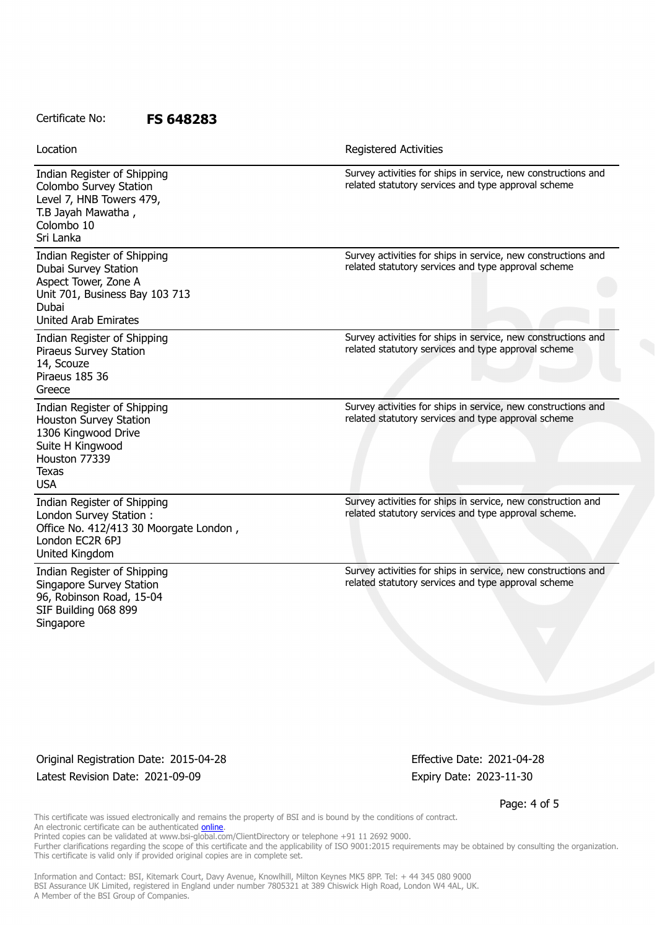| Location                                                                                                                                              | <b>Registered Activities</b>                                                                                         |
|-------------------------------------------------------------------------------------------------------------------------------------------------------|----------------------------------------------------------------------------------------------------------------------|
| Indian Register of Shipping<br>Colombo Survey Station<br>Level 7, HNB Towers 479,<br>T.B Jayah Mawatha,<br>Colombo 10<br>Sri Lanka                    | Survey activities for ships in service, new constructions and<br>related statutory services and type approval scheme |
| Indian Register of Shipping<br>Dubai Survey Station<br>Aspect Tower, Zone A<br>Unit 701, Business Bay 103 713<br>Dubai<br><b>United Arab Emirates</b> | Survey activities for ships in service, new constructions and<br>related statutory services and type approval scheme |
| Indian Register of Shipping<br>Piraeus Survey Station<br>14, Scouze<br>Piraeus 185 36<br>Greece                                                       | Survey activities for ships in service, new constructions and<br>related statutory services and type approval scheme |
| Indian Register of Shipping<br>Houston Survey Station<br>1306 Kingwood Drive<br>Suite H Kingwood<br>Houston 77339<br><b>Texas</b><br><b>USA</b>       | Survey activities for ships in service, new constructions and<br>related statutory services and type approval scheme |
| Indian Register of Shipping<br>London Survey Station:<br>Office No. 412/413 30 Moorgate London,<br>London EC2R 6PJ<br>United Kingdom                  | Survey activities for ships in service, new construction and<br>related statutory services and type approval scheme. |
| Indian Register of Shipping<br>Singapore Survey Station<br>96, Robinson Road, 15-04<br>SIF Building 068 899<br>Singapore                              | Survey activities for ships in service, new constructions and<br>related statutory services and type approval scheme |

Original Registration Date: 2015-04-28 Effective Date: 2021-04-28 Latest Revision Date: 2021-09-09 Expiry Date: 2023-11-30

Page: 4 of 5

This certificate was issued electronically and remains the property of BSI and is bound by the conditions of contract. An electronic certificate can be authenticated [online](https://pgplus.bsigroup.com/CertificateValidation/CertificateValidator.aspx?CertificateNumber=FS+648283&ReIssueDate=09%2f09%2f2021&Template=india_en).

Printed copies can be validated at www.bsi-global.com/ClientDirectory or telephone +91 11 2692 9000.

Further clarifications regarding the scope of this certificate and the applicability of ISO 9001:2015 requirements may be obtained by consulting the organization. This certificate is valid only if provided original copies are in complete set.